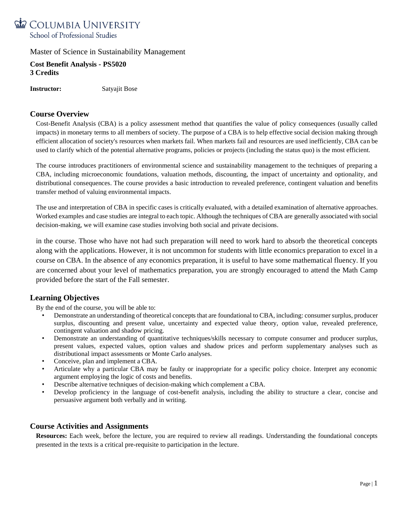

**Cost Benefit Analysis - PS5020 3 Credits**

**Instructor:** Satyajit Bose

# **Course Overview**

Cost-Benefit Analysis (CBA) is a policy assessment method that quantifies the value of policy consequences (usually called impacts) in monetary terms to all members of society. The purpose of a CBA is to help effective social decision making through efficient allocation of society's resources when markets fail. When markets fail and resources are used inefficiently, CBA can be used to clarify which of the potential alternative programs, policies or projects (including the status quo) is the most efficient.

The course introduces practitioners of environmental science and sustainability management to the techniques of preparing a CBA, including microeconomic foundations, valuation methods, discounting, the impact of uncertainty and optionality, and distributional consequences. The course provides a basic introduction to revealed preference, contingent valuation and benefits transfer method of valuing environmental impacts.

The use and interpretation of CBA in specific cases is critically evaluated, with a detailed examination of alternative approaches. Worked examples and case studies are integral to each topic. Although the techniques of CBA are generally associated with social decision-making, we will examine case studies involving both social and private decisions.

in the course. Those who have not had such preparation will need to work hard to absorb the theoretical concepts along with the applications. However, it is not uncommon for students with little economics preparation to excel in a course on CBA. In the absence of any economics preparation, it is useful to have some mathematical fluency. If you are concerned about your level of mathematics preparation, you are strongly encouraged to attend the Math Camp provided before the start of the Fall semester.

# **Learning Objectives**

By the end of the course, you will be able to:

- Demonstrate an understanding of theoretical concepts that are foundational to CBA, including: consumer surplus, producer surplus, discounting and present value, uncertainty and expected value theory, option value, revealed preference, contingent valuation and shadow pricing.
- Demonstrate an understanding of quantitative techniques/skills necessary to compute consumer and producer surplus, present values, expected values, option values and shadow prices and perform supplementary analyses such as distributional impact assessments or Monte Carlo analyses.
- Conceive, plan and implement a CBA.
- Articulate why a particular CBA may be faulty or inappropriate for a specific policy choice. Interpret any economic argument employing the logic of costs and benefits.
- Describe alternative techniques of decision-making which complement a CBA.
- Develop proficiency in the language of cost-benefit analysis, including the ability to structure a clear, concise and persuasive argument both verbally and in writing.

# **Course Activities and Assignments**

**Resources:** Each week, before the lecture, you are required to review all readings. Understanding the foundational concepts presented in the texts is a critical pre-requisite to participation in the lecture.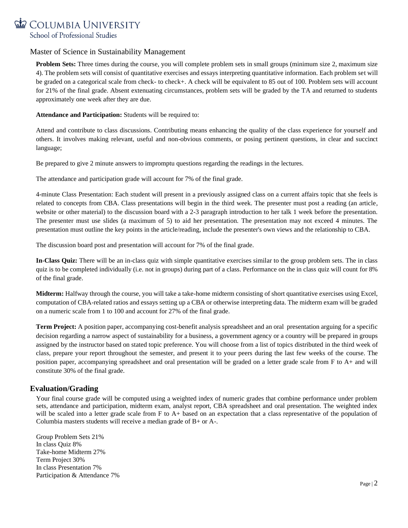

**Problem Sets:** Three times during the course, you will complete problem sets in small groups (minimum size 2, maximum size 4). The problem sets will consist of quantitative exercises and essays interpreting quantitative information. Each problem set will be graded on a categorical scale from check- to check+. A check will be equivalent to 85 out of 100. Problem sets will account for 21% of the final grade. Absent extenuating circumstances, problem sets will be graded by the TA and returned to students approximately one week after they are due.

**Attendance and Participation:** Students will be required to:

Attend and contribute to class discussions. Contributing means enhancing the quality of the class experience for yourself and others. It involves making relevant, useful and non-obvious comments, or posing pertinent questions, in clear and succinct language;

Be prepared to give 2 minute answers to impromptu questions regarding the readings in the lectures.

The attendance and participation grade will account for 7% of the final grade.

4-minute Class Presentation: Each student will present in a previously assigned class on a current affairs topic that she feels is related to concepts from CBA. Class presentations will begin in the third week. The presenter must post a reading (an article, website or other material) to the discussion board with a 2-3 paragraph introduction to her talk 1 week before the presentation. The presenter must use slides (a maximum of 5) to aid her presentation. The presentation may not exceed 4 minutes. The presentation must outline the key points in the article/reading, include the presenter's own views and the relationship to CBA.

The discussion board post and presentation will account for 7% of the final grade.

**In-Class Quiz:** There will be an in-class quiz with simple quantitative exercises similar to the group problem sets. The in class quiz is to be completed individually (i.e. not in groups) during part of a class. Performance on the in class quiz will count for 8% of the final grade.

**Midterm:** Halfway through the course, you will take a take-home midterm consisting of short quantitative exercises using Excel, computation of CBA-related ratios and essays setting up a CBA or otherwise interpreting data. The midterm exam will be graded on a numeric scale from 1 to 100 and account for 27% of the final grade.

**Term Project:** A position paper, accompanying cost-benefit analysis spreadsheet and an oral presentation arguing for a specific decision regarding a narrow aspect of sustainability for a business, a government agency or a country will be prepared in groups assigned by the instructor based on stated topic preference. You will choose from a list of topics distributed in the third week of class, prepare your report throughout the semester, and present it to your peers during the last few weeks of the course. The position paper, accompanying spreadsheet and oral presentation will be graded on a letter grade scale from F to A+ and will constitute 30% of the final grade.

# **Evaluation/Grading**

Your final course grade will be computed using a weighted index of numeric grades that combine performance under problem sets, attendance and participation, midterm exam, analyst report, CBA spreadsheet and oral presentation. The weighted index will be scaled into a letter grade scale from F to A+ based on an expectation that a class representative of the population of Columbia masters students will receive a median grade of B+ or A-.

Group Problem Sets 21% In class Quiz 8% Take-home Midterm 27% Term Project 30% In class Presentation 7% Participation & Attendance 7%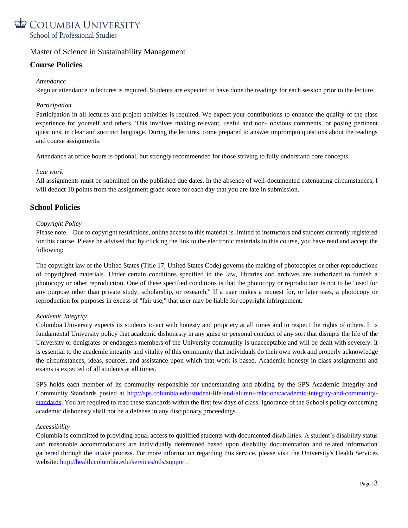

# **Course Policies**

### *Attendance*

Regular attendance in lectures is required. Students are expected to have done the readings for each session prior to the lecture.

## *Participation*

Participation in all lectures and project activities is required. We expect your contributions to enhance the quality of the class experience for yourself and others. This involves making relevant, useful and non- obvious comments, or posing pertinent questions, in clear and succinct language. During the lectures, come prepared to answer impromptu questions about the readings and course assignments.

Attendance at office hours is optional, but strongly recommended for those striving to fully understand core concepts.

#### *Late work*

All assignments must be submitted on the published due dates. In the absence of well-documented extenuating circumstances, I will deduct 10 points from the assignment grade score for each day that you are late in submission.

# **School Policies**

#### *Copyright Policy*

Please note—Due to copyright restrictions, online access to this material is limited to instructors and students currently registered for this course. Please be advised that by clicking the link to the electronic materials in this course, you have read and accept the following:

The copyright law of the United States (Title 17, United States Code) governs the making of photocopies or other reproductions of copyrighted materials. Under certain conditions specified in the law, libraries and archives are authorized to furnish a photocopy or other reproduction. One of these specified conditions is that the photocopy or reproduction is not to be "used for any purpose other than private study, scholarship, or research." If a user makes a request for, or later uses, a photocopy or reproduction for purposes in excess of "fair use," that user may be liable for copyright infringement.

## *Academic Integrity*

Columbia University expects its students to act with honesty and propriety at all times and to respect the rights of others. It is fundamental University policy that academic dishonesty in any guise or personal conduct of any sort that disrupts the life of the University or denigrates or endangers members of the University community is unacceptable and will be dealt with severely. It is essential to the academic integrity and vitality of this community that individuals do their own work and properly acknowledge the circumstances, ideas, sources, and assistance upon which that work is based. Academic honesty in class assignments and exams is expected of all students at all times.

SPS holds each member of its community responsible for understanding and abiding by the SPS Academic Integrity and Community Standards posted at [http://sps.columbia.edu/student-life-and-alumni-relations/academic-integrity-and-community](http://sps.columbia.edu/student-life-and-alumni-relations/academic-integrity-and-community-standards)[standards.](http://sps.columbia.edu/student-life-and-alumni-relations/academic-integrity-and-community-standards) You are required to read these standards within the first few days of class. Ignorance of the School's policy concerning academic dishonesty shall not be a defense in any disciplinary proceedings.

#### *Accessibility*

Columbia is committed to providing equal access to qualified students with documented disabilities. A student's disability status and reasonable accommodations are individually determined based upon disability documentation and related information gathered through the intake process. For more information regarding this service, please visit the University's Health Services website: [http://health.columbia.edu/services/ods/support.](http://health.columbia.edu/services/ods/support)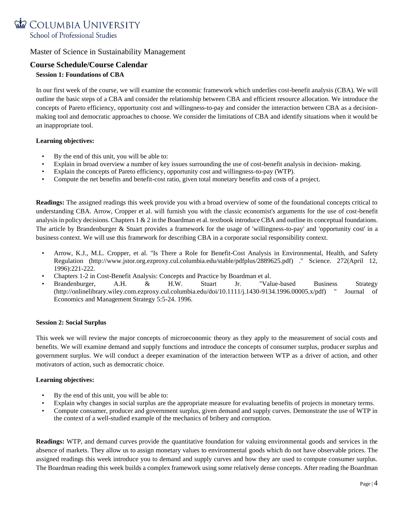

# **Course Schedule/Course Calendar**

# **Session 1: Foundations of CBA**

In our first week of the course, we will examine the economic framework which underlies cost-benefit analysis (CBA). We will outline the basic steps of a CBA and consider the relationship between CBA and efficient resource allocation. We introduce the concepts of Pareto efficiency, opportunity cost and willingness-to-pay and consider the interaction between CBA as a decisionmaking tool and democratic approaches to choose. We consider the limitations of CBA and identify situations when it would be an inappropriate tool.

#### **Learning objectives:**

- By the end of this unit, you will be able to:
- Explain in broad overview a number of key issues surrounding the use of cost-benefit analysis in decision- making.
- Explain the concepts of Pareto efficiency, opportunity cost and willingness-to-pay (WTP).
- Compute the net benefits and benefit-cost ratio, given total monetary benefits and costs of a project.

**Readings:** The assigned readings this week provide you with a broad overview of some of the foundational concepts critical to understanding CBA. Arrow, Cropper et al. will furnish you with the classic economist's arguments for the use of cost-benefit analysis in policy decisions. Chapters  $1 \& 2$  in the Boardman et al. textbook introduce CBA and outline its conceptual foundations. The article by Brandenburger & Stuart provides a framework for the usage of 'willingness-to-pay' and 'opportunity cost' in a business context. We will use this framework for describing CBA in a corporate social responsibility context.

- Arrow, K.J., M.L. Cropper, et al. "Is There a Role for Benefit-Cost Analysis in Environmental, Health, and Safety Regulation (http://www.jstor.org.ezproxy.cul.columbia.edu/stable/pdfplus/2889625.pdf) ." Science. 272(April 12, 1996):221-222.
- Chapters 1-2 in Cost-Benefit Analysis: Concepts and Practice by Boardman et al.
- Brandenburger, A.H. & H.W. Stuart Jr. "Value-based Business Strategy (http://onlinelibrary.wiley.com.ezproxy.cul.columbia.edu/doi/10.1111/j.1430-9134.1996.00005.x/pdf) " Journal of Economics and Management Strategy 5:5-24. 1996.

#### **Session 2: Social Surplus**

This week we will review the major concepts of microeconomic theory as they apply to the measurement of social costs and benefits. We will examine demand and supply functions and introduce the concepts of consumer surplus, producer surplus and government surplus. We will conduct a deeper examination of the interaction between WTP as a driver of action, and other motivators of action, such as democratic choice.

## **Learning objectives:**

- By the end of this unit, you will be able to:
- Explain why changes in social surplus are the appropriate measure for evaluating benefits of projects in monetary terms.
- Compute consumer, producer and government surplus, given demand and supply curves. Demonstrate the use of WTP in the context of a well-studied example of the mechanics of bribery and corruption.

**Readings:** WTP, and demand curves provide the quantitative foundation for valuing environmental goods and services in the absence of markets. They allow us to assign monetary values to environmental goods which do not have observable prices. The assigned readings this week introduce you to demand and supply curves and how they are used to compute consumer surplus. The Boardman reading this week builds a complex framework using some relatively dense concepts. After reading the Boardman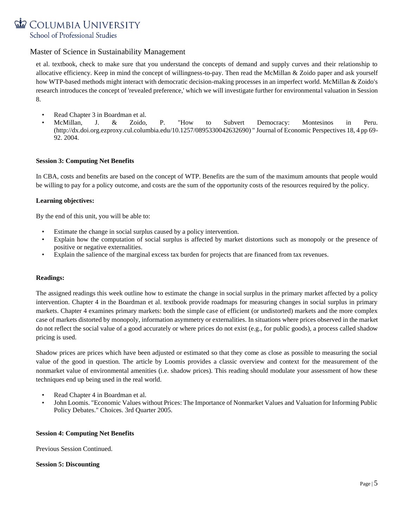# COLUMBIA UNIVERSITY School of Professional Studies

# Master of Science in Sustainability Management

et al. textbook, check to make sure that you understand the concepts of demand and supply curves and their relationship to allocative efficiency. Keep in mind the concept of willingness-to-pay. Then read the McMillan & Zoido paper and ask yourself how WTP-based methods might interact with democratic decision-making processes in an imperfect world. McMillan & Zoido's research introduces the concept of 'revealed preference,' which we will investigate further for environmental valuation in Session 8.

- Read Chapter 3 in Boardman et al.
- McMillan, J. & Zoido, P. "How to Subvert Democracy: Montesinos in Peru. (http://dx.doi.org.ezproxy.cul.columbia.edu/10.1257/0895330042632690) " Journal of Economic Perspectives 18, 4 pp 69- 92. 2004.

#### **Session 3: Computing Net Benefits**

In CBA, costs and benefits are based on the concept of WTP. Benefits are the sum of the maximum amounts that people would be willing to pay for a policy outcome, and costs are the sum of the opportunity costs of the resources required by the policy.

#### **Learning objectives:**

By the end of this unit, you will be able to:

- Estimate the change in social surplus caused by a policy intervention.
- Explain how the computation of social surplus is affected by market distortions such as monopoly or the presence of positive or negative externalities.
- Explain the salience of the marginal excess tax burden for projects that are financed from tax revenues.

#### **Readings:**

The assigned readings this week outline how to estimate the change in social surplus in the primary market affected by a policy intervention. Chapter 4 in the Boardman et al. textbook provide roadmaps for measuring changes in social surplus in primary markets. Chapter 4 examines primary markets: both the simple case of efficient (or undistorted) markets and the more complex case of markets distorted by monopoly, information asymmetry or externalities. In situations where prices observed in the market do not reflect the social value of a good accurately or where prices do not exist (e.g., for public goods), a process called shadow pricing is used.

Shadow prices are prices which have been adjusted or estimated so that they come as close as possible to measuring the social value of the good in question. The article by Loomis provides a classic overview and context for the measurement of the nonmarket value of environmental amenities (i.e. shadow prices). This reading should modulate your assessment of how these techniques end up being used in the real world.

- Read Chapter 4 in Boardman et al.
- John Loomis. "Economic Values without Prices: The Importance of Nonmarket Values and Valuation for Informing Public Policy Debates." Choices. 3rd Quarter 2005.

#### **Session 4: Computing Net Benefits**

Previous Session Continued.

#### **Session 5: Discounting**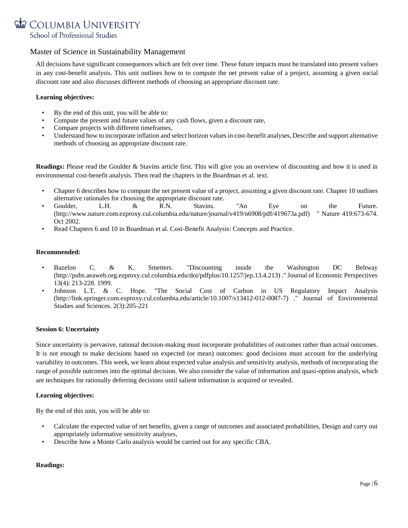

All decisions have significant consequences which are felt over time. These future impacts must be translated into present values in any cost-benefit analysis. This unit outlines how to to compute the net present value of a project, assuming a given social discount rate and also discusses different methods of choosing an appropriate discount rate.

#### **Learning objectives:**

- By the end of this unit, you will be able to:
- Compute the present and future values of any cash flows, given a discount rate,
- Compare projects with different timeframes,
- Understand how to incorporate inflation and select horizon values in cost-benefit analyses, Describe and support alternative methods of choosing an appropriate discount rate.

**Readings:** Please read the Goulder & Stavins article first. This will give you an overview of discounting and how it is used in environmental cost-benefit analysis. Then read the chapters in the Boardman et al. text.

- Chapter 6 describes how to compute the net present value of a project, assuming a given discount rate. Chapter 10 outlines alternative rationales for choosing the appropriate discount rate.
- Goulder, L.H. & R.N. Stavins. "An Eye on the Future. (http://www.nature.com.ezproxy.cul.columbia.edu/nature/journal/v419/n6908/pdf/419673a.pdf) " Nature 419:673-674. Oct 2002.
- Read Chapters 6 and 10 in Boardman et al. Cost-Benefit Analysis: Concepts and Practice.

#### **Recommended:**

- Bazelon C. & K. Smetters. "Discounting inside the Washington DC Beltway (http://pubs.aeaweb.org.ezproxy.cul.columbia.edu/doi/pdfplus/10.1257/jep.13.4.213) ." Journal of Economic Perspectives 13(4): 213-228. 1999.
- Johnson L.T. & C. Hope. "The Social Cost of Carbon in US Regulatory Impact Analysis (http://link.springer.com.ezproxy.cul.columbia.edu/article/10.1007/s13412-012-0087-7) ." Journal of Environmental Studies and Sciences. 2(3):205-221

#### **Session 6: Uncertainty**

Since uncertainty is pervasive, rational decision-making must incorporate probabilities of outcomes rather than actual outcomes. It is not enough to make decisions based on expected (or mean) outcomes: good decisions must account for the underlying variability in outcomes. This week, we learn about expected value analysis and sensitivity analysis, methods of incorporating the range of possible outcomes into the optimal decision. We also consider the value of information and quasi-option analysis, which are techniques for rationally deferring decisions until salient information is acquired or revealed.

#### **Learning objectives:**

By the end of this unit, you will be able to:

- Calculate the expected value of net benefits, given a range of outcomes and associated probabilities, Design and carry out appropriately informative sensitivity analyses,
- Describe how a Monte Carlo analysis would be carried out for any specific CBA.

# **Readings:**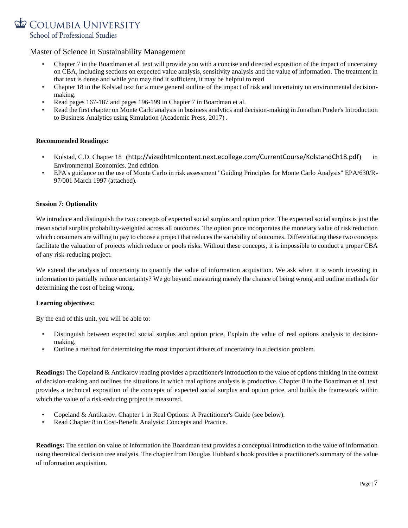

- Chapter 7 in the Boardman et al. text will provide you with a concise and directed exposition of the impact of uncertainty on CBA, including sections on expected value analysis, sensitivity analysis and the value of information. The treatment in that text is dense and while you may find it sufficient, it may be helpful to read
- Chapter 18 in the Kolstad text for a more general outline of the impact of risk and uncertainty on environmental decisionmaking.
- Read pages 167-187 and pages 196-199 in Chapter 7 in Boardman et al.
- Read the first chapter on Monte Carlo analysis in business analytics and decision-making in Jonathan Pinder's Introduction to Business Analytics using Simulation (Academic Press, 2017) .

#### **Recommended Readings:**

- Kolstad, C.D. Chapter 18 (<http://vizedhtmlcontent.next.ecollege.com/CurrentCourse/KolstandCh18.pdf>) in Environmental Economics. 2nd edition.
- EPA's guidance on the use of Monte Carlo in risk assessment "Guiding Principles for Monte Carlo Analysis" EPA/630/R-97/001 March 1997 (attached).

#### **Session 7: Optionality**

We introduce and distinguish the two concepts of expected social surplus and option price. The expected social surplus is just the mean social surplus probability-weighted across all outcomes. The option price incorporates the monetary value of risk reduction which consumers are willing to pay to choose a project that reduces the variability of outcomes. Differentiating these two concepts facilitate the valuation of projects which reduce or pools risks. Without these concepts, it is impossible to conduct a proper CBA of any risk-reducing project.

We extend the analysis of uncertainty to quantify the value of information acquisition. We ask when it is worth investing in information to partially reduce uncertainty? We go beyond measuring merely the chance of being wrong and outline methods for determining the cost of being wrong.

#### **Learning objectives:**

By the end of this unit, you will be able to:

- Distinguish between expected social surplus and option price, Explain the value of real options analysis to decisionmaking.
- Outline a method for determining the most important drivers of uncertainty in a decision problem.

**Readings:** The Copeland & Antikarov reading provides a practitioner's introduction to the value of options thinking in the context of decision-making and outlines the situations in which real options analysis is productive. Chapter 8 in the Boardman et al. text provides a technical exposition of the concepts of expected social surplus and option price, and builds the framework within which the value of a risk-reducing project is measured.

- Copeland & Antikarov. Chapter 1 in Real Options: A Practitioner's Guide (see below).
- Read Chapter 8 in Cost-Benefit Analysis: Concepts and Practice.

**Readings:** The section on value of information the Boardman text provides a conceptual introduction to the value of information using theoretical decision tree analysis. The chapter from Douglas Hubbard's book provides a practitioner's summary of the value of information acquisition.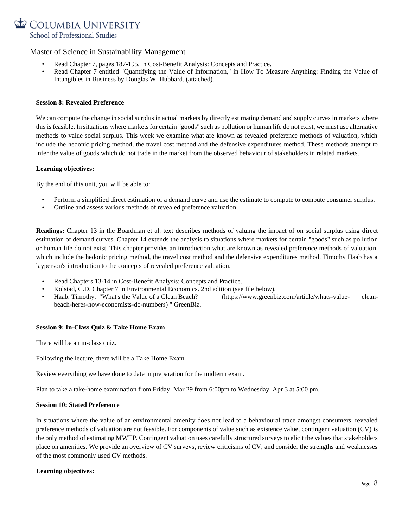

- Read Chapter 7, pages 187-195. in Cost-Benefit Analysis: Concepts and Practice.
- Read Chapter 7 entitled "Quantifying the Value of Information," in How To Measure Anything: Finding the Value of Intangibles in Business by Douglas W. Hubbard. (attached).

#### **Session 8: Revealed Preference**

We can compute the change in social surplus in actual markets by directly estimating demand and supply curves in markets where this is feasible. In situations where markets for certain "goods" such as pollution or human life do not exist, we must use alternative methods to value social surplus. This week we examine what are known as revealed preference methods of valuation, which include the hedonic pricing method, the travel cost method and the defensive expenditures method. These methods attempt to infer the value of goods which do not trade in the market from the observed behaviour of stakeholders in related markets.

#### **Learning objectives:**

By the end of this unit, you will be able to:

- Perform a simplified direct estimation of a demand curve and use the estimate to compute to compute consumer surplus.
- Outline and assess various methods of revealed preference valuation.

**Readings:** Chapter 13 in the Boardman et al. text describes methods of valuing the impact of on social surplus using direct estimation of demand curves. Chapter 14 extends the analysis to situations where markets for certain "goods" such as pollution or human life do not exist. This chapter provides an introduction what are known as revealed preference methods of valuation, which include the hedonic pricing method, the travel cost method and the defensive expenditures method. Timothy Haab has a layperson's introduction to the concepts of revealed preference valuation.

- Read Chapters 13-14 in Cost-Benefit Analysis: Concepts and Practice.
- Kolstad, C.D. Chapter 7 in Environmental Economics. 2nd edition (see file below).
- Haab, Timothy. "What's the Value of a Clean Beach? (https://www.greenbiz.com/article/whats-value- cleanbeach-heres-how-economists-do-numbers) " GreenBiz.

#### **Session 9: In-Class Quiz & Take Home Exam**

There will be an in-class quiz.

Following the lecture, there will be a Take Home Exam

Review everything we have done to date in preparation for the midterm exam.

Plan to take a take-home examination from Friday, Mar 29 from 6:00pm to Wednesday, Apr 3 at 5:00 pm.

#### **Session 10: Stated Preference**

In situations where the value of an environmental amenity does not lead to a behavioural trace amongst consumers, revealed preference methods of valuation are not feasible. For components of value such as existence value, contingent valuation (CV) is the only method of estimating MWTP. Contingent valuation uses carefully structured surveys to elicit the values that stakeholders place on amenities. We provide an overview of CV surveys, review criticisms of CV, and consider the strengths and weaknesses of the most commonly used CV methods.

## **Learning objectives:**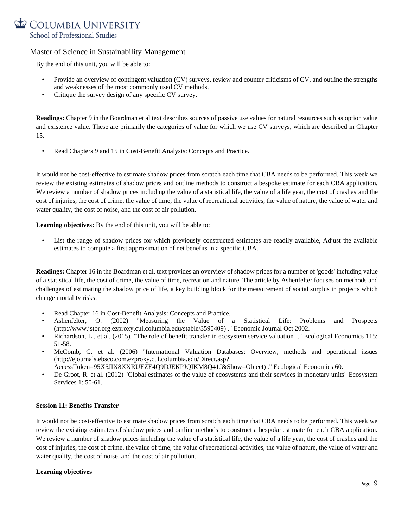

By the end of this unit, you will be able to:

- Provide an overview of contingent valuation (CV) surveys, review and counter criticisms of CV, and outline the strengths and weaknesses of the most commonly used CV methods,
- Critique the survey design of any specific CV survey.

**Readings:** Chapter 9 in the Boardman et al text describes sources of passive use values for natural resources such as option value and existence value. These are primarily the categories of value for which we use CV surveys, which are described in Chapter 15.

• Read Chapters 9 and 15 in Cost-Benefit Analysis: Concepts and Practice.

It would not be cost-effective to estimate shadow prices from scratch each time that CBA needs to be performed. This week we review the existing estimates of shadow prices and outline methods to construct a bespoke estimate for each CBA application. We review a number of shadow prices including the value of a statistical life, the value of a life year, the cost of crashes and the cost of injuries, the cost of crime, the value of time, the value of recreational activities, the value of nature, the value of water and water quality, the cost of noise, and the cost of air pollution.

**Learning objectives:** By the end of this unit, you will be able to:

• List the range of shadow prices for which previously constructed estimates are readily available, Adjust the available estimates to compute a first approximation of net benefits in a specific CBA.

**Readings:** Chapter 16 in the Boardman et al. text provides an overview of shadow prices for a number of 'goods' including value of a statistical life, the cost of crime, the value of time, recreation and nature. The article by Ashenfelter focuses on methods and challenges of estimating the shadow price of life, a key building block for the measurement of social surplus in projects which change mortality risks.

- Read Chapter 16 in Cost-Benefit Analysis: Concepts and Practice.
- Ashenfelter, O. (2002) "Measuring the Value of a Statistical Life: Problems and Prospects (http://www.jstor.org.ezproxy.cul.columbia.edu/stable/3590409) ." Economic Journal Oct 2002.
- Richardson, L., et al. (2015). "The role of benefit transfer in ecosystem service valuation ." Ecological Economics 115: 51-58.
- McComb, G. et al. (2006) "International Valuation Databases: Overview, methods and operational issues [\(http://ejournals.ebsco.com.ezproxy.cul.columbia.edu/Direct.asp?](http://ejournals.ebsco.com.ezproxy.cul.columbia.edu/Direct.asp) AccessToken=95X5JIX8XXRUEZE4Q9DJEKPJQIKM8Q41J&Show=Object) ." Ecological Economics 60.
- De Groot, R. et al. (2012) "Global estimates of the value of ecosystems and their services in monetary units" Ecosystem Services 1: 50-61.

## **Session 11: Benefits Transfer**

It would not be cost-effective to estimate shadow prices from scratch each time that CBA needs to be performed. This week we review the existing estimates of shadow prices and outline methods to construct a bespoke estimate for each CBA application. We review a number of shadow prices including the value of a statistical life, the value of a life year, the cost of crashes and the cost of injuries, the cost of crime, the value of time, the value of recreational activities, the value of nature, the value of water and water quality, the cost of noise, and the cost of air pollution.

#### **Learning objectives**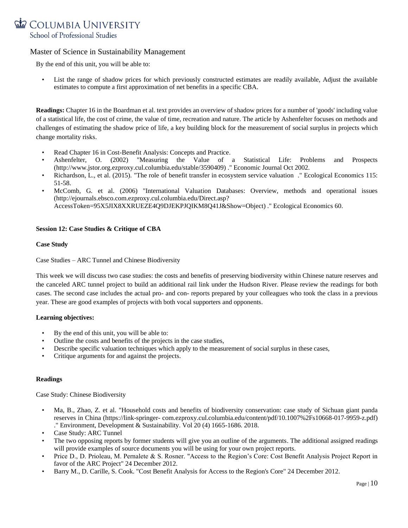

By the end of this unit, you will be able to:

List the range of shadow prices for which previously constructed estimates are readily available, Adjust the available estimates to compute a first approximation of net benefits in a specific CBA.

**Readings:** Chapter 16 in the Boardman et al. text provides an overview of shadow prices for a number of 'goods' including value of a statistical life, the cost of crime, the value of time, recreation and nature. The article by Ashenfelter focuses on methods and challenges of estimating the shadow price of life, a key building block for the measurement of social surplus in projects which change mortality risks.

- Read Chapter 16 in Cost-Benefit Analysis: Concepts and Practice.
- Ashenfelter, O. (2002) "Measuring the Value of a Statistical Life: Problems and Prospects (http://www.jstor.org.ezproxy.cul.columbia.edu/stable/3590409) ." Economic Journal Oct 2002.
- Richardson, L., et al. (2015). "The role of benefit transfer in ecosystem service valuation ." Ecological Economics 115: 51-58.
- McComb, G. et al. (2006) "International Valuation Databases: Overview, methods and operational issues [\(http://ejournals.ebsco.com.ezproxy.cul.columbia.edu/Direct.asp?](http://ejournals.ebsco.com.ezproxy.cul.columbia.edu/Direct.asp)

AccessToken=95X5JIX8XXRUEZE4Q9DJEKPJQIKM8Q41J&Show=Object) ." Ecological Economics 60.

#### **Session 12: Case Studies & Critique of CBA**

#### **Case Study**

Case Studies – ARC Tunnel and Chinese Biodiversity

This week we will discuss two case studies: the costs and benefits of preserving biodiversity within Chinese nature reserves and the canceled ARC tunnel project to build an additional rail link under the Hudson River. Please review the readings for both cases. The second case includes the actual pro- and con- reports prepared by your colleagues who took the class in a previous year. These are good examples of projects with both vocal supporters and opponents.

#### **Learning objectives:**

- By the end of this unit, you will be able to:
- Outline the costs and benefits of the projects in the case studies,
- Describe specific valuation techniques which apply to the measurement of social surplus in these cases,
- Critique arguments for and against the projects.

#### **Readings**

Case Study: Chinese Biodiversity

- Ma, B., Zhao, Z. et al. "Household costs and benefits of biodiversity conservation: case study of Sichuan giant panda reserves in China (https://link-springer- com.ezproxy.cul.columbia.edu/content/pdf/10.1007%2Fs10668-017-9959-z.pdf) ." Environment, Development & Sustainability. Vol 20 (4) 1665-1686. 2018.
- Case Study: ARC Tunnel
- The two opposing reports by former students will give you an outline of the arguments. The additional assigned readings will provide examples of source documents you will be using for your own project reports.
- Price D., D. Prioleau, M. Pernalete & S. Rosner. "Access to the Region's Core: Cost Benefit Analysis Project Report in favor of the ARC Project" 24 December 2012.
- Barry M., D. Carille, S. Cook. "Cost Benefit Analysis for Access to the Region's Core" 24 December 2012.